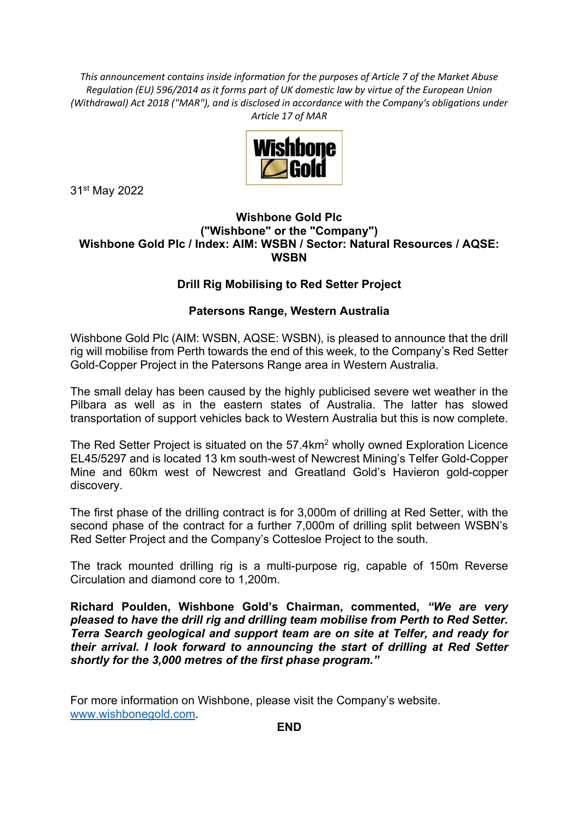*This announcement contains inside information for the purposes of Article 7 of the Market Abuse Regulation (EU) 596/2014 as it forms part of UK domestic law by virtue of the European Union (Withdrawal) Act 2018 ("MAR"), and is disclosed in accordance with the Company's obligations under Article 17 of MAR*



31st May 2022

## **Wishbone Gold Plc ("Wishbone" or the "Company") Wishbone Gold Plc / Index: AIM: WSBN / Sector: Natural Resources / AQSE: WSBN**

## **Drill Rig Mobilising to Red Setter Project**

## **Patersons Range, Western Australia**

Wishbone Gold Plc (AIM: WSBN, AQSE: WSBN), is pleased to announce that the drill rig will mobilise from Perth towards the end of this week, to the Company's Red Setter Gold-Copper Project in the Patersons Range area in Western Australia.

The small delay has been caused by the highly publicised severe wet weather in the Pilbara as well as in the eastern states of Australia. The latter has slowed transportation of support vehicles back to Western Australia but this is now complete.

The Red Setter Project is situated on the 57.4km<sup>2</sup> wholly owned Exploration Licence EL45/5297 and is located 13 km south-west of Newcrest Mining's Telfer Gold-Copper Mine and 60km west of Newcrest and Greatland Gold's Havieron gold-copper discovery.

The first phase of the drilling contract is for 3,000m of drilling at Red Setter, with the second phase of the contract for a further 7,000m of drilling split between WSBN's Red Setter Project and the Company's Cottesloe Project to the south.

The track mounted drilling rig is a multi-purpose rig, capable of 150m Reverse Circulation and diamond core to 1,200m.

**Richard Poulden, Wishbone Gold's Chairman, commented,** *"We are very pleased to have the drill rig and drilling team mobilise from Perth to Red Setter. Terra Search geological and support team are on site at Telfer, and ready for their arrival. I look forward to announcing the start of drilling at Red Setter shortly for the 3,000 metres of the first phase program."*

For more information on Wishbone, please visit the Company's website. www.wishbonegold.com.